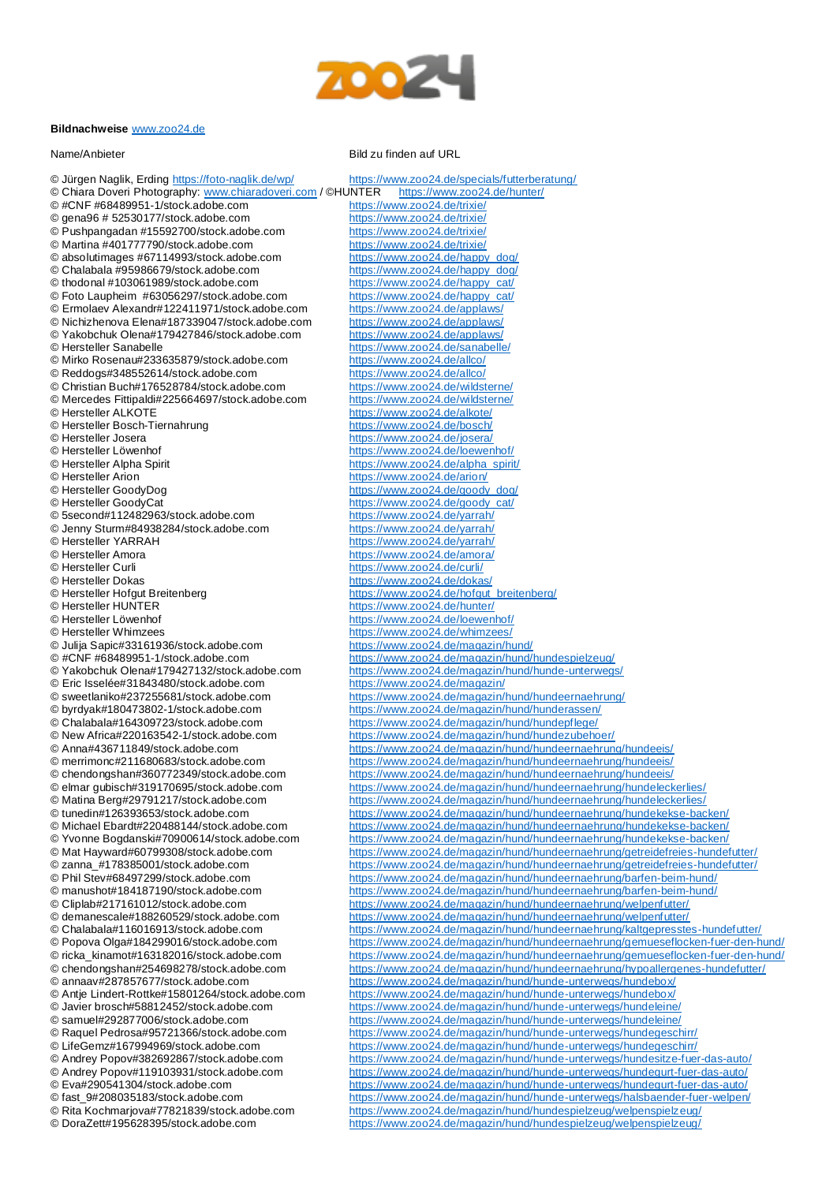

## **Bildnachweise** [www.zoo24.de](http://www.zoo24.de/)

## Name/Anbieter Bild zu finden auf URL

© Jürgen Naglik, Erding<https://foto-naglik.de/wp/> <https://www.zoo24.de/specials/futterberatung/><br>© Chiara Doveri Photography: www.chiaradoveri.com / ©HUNTER https://www.zoo24.de/hunter/ © Chiara Doveri Photography: [www.chiaradoveri.com](http://www.chiaradoveri.com/) / ©HUNTER https://www.zoo24<br>© #CNF #68489951-1/stock.adobe.com https://www.zoo24.de/trixie/ © #CNF #68489951-1/stock.adobe.com <https://www.zoo24.de/trixie/><br>© gena96 # 52530177/stock.adobe.com https://www.zoo24.de/trixie/  $©$  gena96  $#$  52530177/stock.adobe.com © Pushpangadan #15592700/stock.adobe.com <https://www.zoo24.de/trixie/><br>© Martina #401777790/stock.adobe.com https://www.zoo24.de/trixie/ © Martina #401777790/stock.adobe.com <https://www.zoo24.de/trixie/><br>© absolutimages #67114993/stock.adobe.com https://www.zoo24.de/happy\_dog/ © absolutimages #67114993/stock.adobe.com [https://www.zoo24.de/happy\\_dog/](https://www.zoo24.de/happy_dog/)<br>© Chalabala #95986679/stock.adobe.com https://www.zoo24.de/happy\_dog/ © Chalabala #95986679/stock.adobe.com<br>© thodonal #103061989/stock.adobe.com © Foto Laupheim #63056297/stock.adobe.com [https://www.zoo24.de/happy\\_cat/](https://www.zoo24.de/happy_cat/)<br>© Ermolaev Alexandr#122411971/stock.adobe.com https://www.zoo24.de/applaws/ © Ermolaev Alexandr#122411971/stock.adobe.com © Nichizhenova Elena#187339047/stock.adobe.com <https://www.zoo24.de/applaws/><br>© Yakobchuk Olena#179427846/stock.adobe.com https://www.zoo24.de/applaws/ © Yakobchuk Olena#179427846/stock.adobe.com<br>© Hersteller Sanabelle © Mirko Rosenau#233635879/stock.adobe.com © Reddogs#348552614/stock.adobe.com <https://www.zoo24.de/allco/><br>© Christian Buch#176528784/stock.adobe.com https://www.zoo24.de/wildsterne/ © Christian Buch#176528784/stock.adobe.com <https://www.zoo24.de/wildsterne/> © Mercedes Fittipaldi#225664697/stock.adobe.com<br>© Hersteller ALKOTE © Hersteller ALKOTE<br>
© Hersteller Bosch-Tiernahrung

metry https://www.zoo24.de/bosch/

https://www.zoo24.de/bosch © Hersteller Bosch-Tiernahrung<br>
© Hersteller Josera<br>
https://www.zoo24.de/josera/
https://www.zoo24.de/josera/ © Hersteller Josera<br>
© Hersteller Löwenhof **<https://www.zoo24.de/josera/>**<br>
https://www.zoo24.de/loewer © Hersteller Löwenhof **<https://www.zoo24.de/loewenhof/>**<br>© Hersteller Alpha Spirit **https://www.zoo24.de/alpha** spiri © Hersteller Alpha Spirit **https://www.zoo24.de/alpha\_spirit/**<br>© Hersteller Arion **https://www.zoo24.de/arion/** © Hersteller Arion **butter and the state of the state of the <https://www.zoo24.de/arion/>**<br>© Hersteller GoodyDog **butter and the https://www.zoo24.de/aoody** © Hersteller GoodyDog<br>
© Hersteller GoodyCat<br>
https://www.zoo24.de/goody\_cat/
https://www.zoo24.de/goody\_cat/ © 5second#112482963/stock.adobe.com <https://www.zoo24.de/yarrah/><br>© Jenny Sturm#84938284/stock.adobe.com https://www.zoo24.de/yarrah/ © Jenny Sturm#84938284/stock.adobe.com<br>© Hersteller YARRAH © Hersteller YARRAH <https://www.zoo24.de/yarrah/><br>© Hersteller Amora © Hersteller Amora <https://www.zoo24.de/amora/> © Hersteller Curli <https://www.zoo24.de/curli/> © Hersteller Dokas<br>
© Hersteller Hofgut Breitenberg<br>
https://www.zoo24.de/hofgut © Hersteller Hofgut Breitenberg https://www.zoo24.de/hofgut breitenberg/<br>
© Hersteller HUNTER<br>
https://www.zoo24.de/hunter/ © Hersteller Löwenhof **<https://www.zoo24.de/loewenhof/>**<br>© Hersteller Whimzees **https://www.zoo24.de/whimzees/** © Julija Sapic#33161936/stock.adobe.com<br>© #CNF #68489951-1/stock.adobe.com © #CNF #68489951-1/stock.adobe.com <https://www.zoo24.de/magazin/hund/hundespielzeug/> © Eric Isselée#31843480/stock.adobe.com<br>© sweetlaniko#237255681/stock.adobe.com © byrdyak#180473802-1/stock.adobe.com <https://www.zoo24.de/magazin/hund/hunderassen/> © Chalabala#164309723/stock.adobe.com <https://www.zoo24.de/magazin/hund/hundepflege/> © New Africa#220163542-1/stock.adobe.com <https://www.zoo24.de/magazin/hund/hundezubehoer/><br>© Anna#436711849/stock.adobe.com https://www.zoo24.de/magazin/hund/hundeernaehrun

[https://www.zoo24.de/happy\\_cat/](https://www.zoo24.de/happy_cat/)<br>https://www.zoo24.de/happy\_cat/ <https://www.zoo24.de/sanabelle/><br>https://www.zoo24.de/allco/ [https://www.zoo24.de/goody\\_cat/](https://www.zoo24.de/goody_cat/)<br>https://www.zoo24.de/yarrah/ <https://www.zoo24.de/hunter/> <https://www.zoo24.de/whimzees/><br>https://www.zoo24.de/magazin/hund/ <https://www.zoo24.de/magazin/hund/hunde-unterwegs/><br>https://www.zoo24.de/magazin/ © sweetlaniko#237255681/stock.adobe.com <https://www.zoo24.de/magazin/hund/hundeernaehrung/><br>© byrdyak#180473802-1/stock.adobe.com https://www.zoo24.de/magazin/hund/hunderassen/ © Anna#436711849/stock.adobe.com <https://www.zoo24.de/magazin/hund/hundeernaehrung/hundeeis/><br>© merrimonc#211680683/stock.adobe.com https://www.zoo24.de/magazin/hund/hundeernaehrung/hundeeis/ © merrimonc#211680683/stock.adobe.com <https://www.zoo24.de/magazin/hund/hundeernaehrung/hundeeis/><br>© chendongshan#360772349/stock.adobe.com https://www.zoo24.de/magazin/hund/hundeernaehrung/hundeeis/ <https://www.zoo24.de/magazin/hund/hundeernaehrung/hundeeis/> © elmar gubisch#319170695/stock.adobe.com <https://www.zoo24.de/magazin/hund/hundeernaehrung/hundeleckerlies/><br>© Matina Berg#29791217/stock.adobe.com https://www.zoo24.de/magazin/hund/hundeernaehrung/hundeleckerlies/ © Matina Berg#29791217/stock.adobe.com <https://www.zoo24.de/magazin/hund/hundeernaehrung/hundeleckerlies/><br>© tunedin#126393653/stock.adobe.com https://www.zoo24.de/magazin/hund/hundeernaehrung/hundekekse-bac © tunedin#126393653/stock.adobe.com <https://www.zoo24.de/magazin/hund/hundeernaehrung/hundekekse-backen/> © Michael Ebardt#220488144/stock.adobe.com <https://www.zoo24.de/magazin/hund/hundeernaehrung/hundekekse-backen/> © Yvonne Bogdanski#70900614/stock.adobe.com <https://www.zoo24.de/magazin/hund/hundeernaehrung/hundekekse-backen/> © Mat Hayward#60799308/stock.adobe.com <https://www.zoo24.de/magazin/hund/hundeernaehrung/getreidefreies-hundefutter/> © zanna\_#178385001/stock.adobe.com <https://www.zoo24.de/magazin/hund/hundeernaehrung/getreidefreies-hundefutter/> © Phil Stev#68497299/stock.adobe.com <https://www.zoo24.de/magazin/hund/hundeernaehrung/barfen-beim-hund/> © manushot#184187190/stock.adobe.com <https://www.zoo24.de/magazin/hund/hundeernaehrung/barfen-beim-hund/><br>© Cliplab#217161012/stock.adobe.com https://www.zoo24.de/magazin/hund/hundeernaehrung/welpenfutter/ © Cliplab#217161012/stock.adobe.com <https://www.zoo24.de/magazin/hund/hundeernaehrung/welpenfutter/><br>© demanescale#188260529/stock.adobe.com https://www.zoo24.de/magazin/hund/hundeernaehrung/welpenfutter/ <https://www.zoo24.de/magazin/hund/hundeernaehrung/welpenfutter/> © Chalabala#116016913/stock.adobe.com <https://www.zoo24.de/magazin/hund/hundeernaehrung/kaltgepresstes-hundefutter/> © Popova Olga#184299016/stock.adobe.com <https://www.zoo24.de/magazin/hund/hundeernaehrung/gemueseflocken-fuer-den-hund/> © ricka\_kinamot#163182016/stock.adobe.com <https://www.zoo24.de/magazin/hund/hundeernaehrung/gemueseflocken-fuer-den-hund/> © chendongshan#254698278/stock.adobe.com <https://www.zoo24.de/magazin/hund/hundeernaehrung/hypoallergenes-hundefutter/><br>© annaav#287857677/stock.adobe.com https://www.zoo24.de/magazin/hund/hunde-unterwegs/hundebox/ © annaav#287857677/stock.adobe.com <https://www.zoo24.de/magazin/hund/hunde-unterwegs/hundebox/><br>© Antie Lindert-Rottke#15801264/stock.adobe.com https://www.zoo24.de/magazin/hund/hunde-unterwegs/hundebox/ © Antje Lindert-Rottke#15801264/stock.adobe.com <https://www.zoo24.de/magazin/hund/hunde-unterwegs/hundebox/><br>© Javier brosch#58812452/stock.adobe.com https://www.zoo24.de/magazin/hund/hunde-unterwegs/hundeleine © Javier brosch#58812452/stock.adobe.com <https://www.zoo24.de/magazin/hund/hunde-unterwegs/hundeleine/><br>© samuel#292877006/stock.adobe.com https://www.zoo24.de/magazin/hund/hunde-unterwegs/hundeleine/ © samuel#292877006/stock.adobe.com <https://www.zoo24.de/magazin/hund/hunde-unterwegs/hundeleine/><br>© Raquel Pedrosa#95721366/stock.adobe.com https://www.zoo24.de/magazin/hund/hunde-unterwegs/hundegesch © Raquel Pedrosa#95721366/stock.adobe.com <https://www.zoo24.de/magazin/hund/hunde-unterwegs/hundegeschirr/><br>© LifeGemz#167994969/stock.adobe.com https://www.zoo24.de/magazin/hund/hunde-unterwegs/hundegeschirr/ © LifeGemz#167994969/stock.adobe.com <https://www.zoo24.de/magazin/hund/hunde-unterwegs/hundegeschirr/> <https://www.zoo24.de/magazin/hund/hunde-unterwegs/hundesitze-fuer-das-auto/> © Andrey Popov#119103931/stock.adobe.com <https://www.zoo24.de/magazin/hund/hunde-unterwegs/hundegurt-fuer-das-auto/> © Eva#290541304/stock.adobe.com <https://www.zoo24.de/magazin/hund/hunde-unterwegs/hundegurt-fuer-das-auto/> <https://www.zoo24.de/magazin/hund/hunde-unterwegs/halsbaender-fuer-welpen/> © Rita Kochmarjova#77821839/stock.adobe.com <https://www.zoo24.de/magazin/hund/hundespielzeug/welpenspielzeug/><br>© DoraZett#195628395/stock.adobe.com https://www.zoo24.de/magazin/hund/hundespielzeug/welpenspielzeug/ <https://www.zoo24.de/magazin/hund/hundespielzeug/welpenspielzeug/>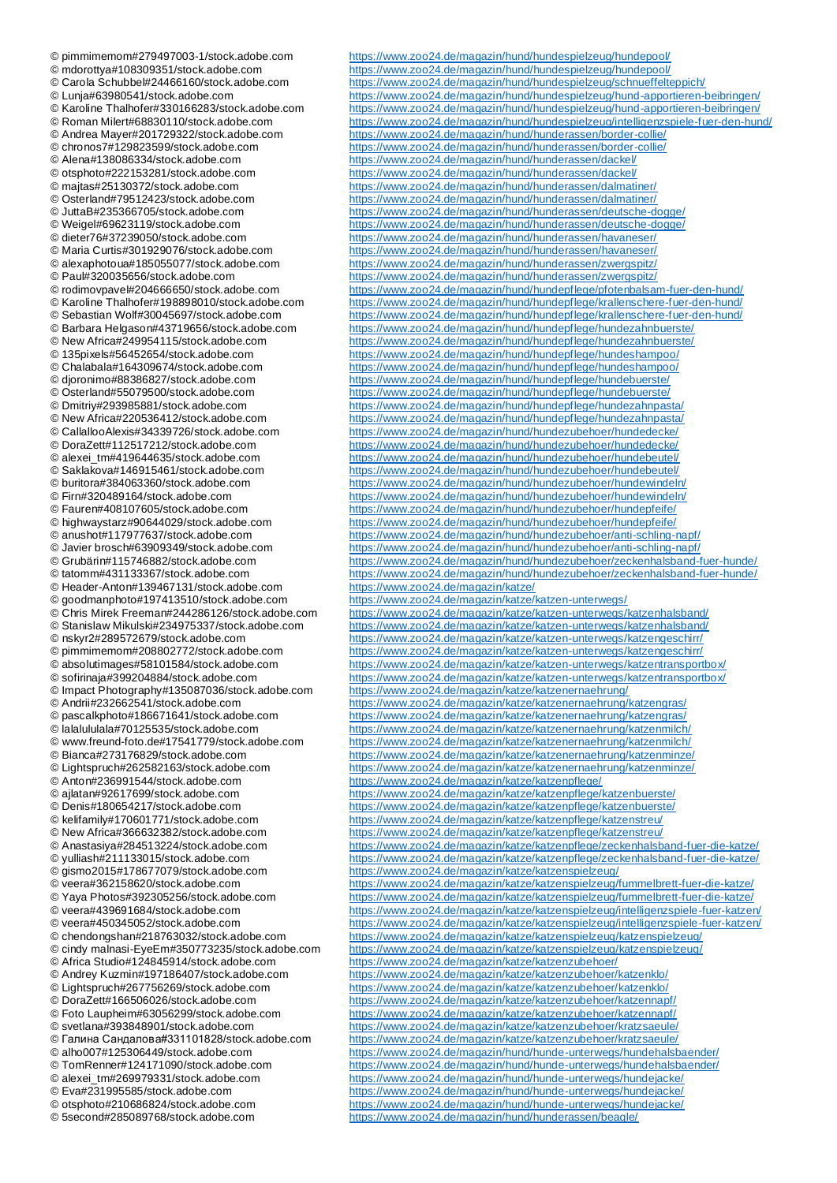© Header-Anton#139467131/stock.adobe.com <https://www.zoo24.de/magazin/katze/><br>© goodmanphoto#197413510/stock.adobe.com https://www.zoo24.de/magazin/katze/ © Anton#236991544/stock.adobe.com <https://www.zoo24.de/magazin/katze/katzenpflege/> © otsphoto#210686824/stock.adobe.com <https://www.zoo24.de/magazin/hund/hunde-unterwegs/hundejacke/><br>© 5second#285089768/stock.adobe.com https://www.zoo24.de/magazin/hund/hunderassen/beagle/

© pimmimemom#279497003-1/stock.adobe.com <https://www.zoo24.de/magazin/hund/hundespielzeug/hundepool/> © mdorottya#108309351/stock.adobe.com <https://www.zoo24.de/magazin/hund/hundespielzeug/hundepool/><br>© Carola Schubbel#24466160/stock.adobe.com https://www.zoo24.de/magazin/hund/hundespielzeug/schnueffelte © Carola Schubbel#24466160/stock.adobe.com <https://www.zoo24.de/magazin/hund/hundespielzeug/schnueffelteppich/> <https://www.zoo24.de/magazin/hund/hundespielzeug/hund-apportieren-beibringen/> © Karoline Thalhofer#330166283/stock.adobe.com <https://www.zoo24.de/magazin/hund/hundespielzeug/hund-apportieren-beibringen/> © Roman Milert#68830110/stock.adobe.com <https://www.zoo24.de/magazin/hund/hundespielzeug/intelligenzspiele-fuer-den-hund/> © Andrea Mayer#201729322/stock.adobe.com <https://www.zoo24.de/magazin/hund/hunderassen/border-collie/> © chronos7#129823599/stock.adobe.com <https://www.zoo24.de/magazin/hund/hunderassen/border-collie/><br>© Alena#138086334/stock.adobe.com https://www.zoo24.de/magazin/hund/hunderassen/dackel/ © Alena#138086334/stock.adobe.com <https://www.zoo24.de/magazin/hund/hunderassen/dackel/><br>© otsphoto#222153281/stock.adobe.com https://www.zoo24.de/magazin/hund/hunderassen/dackel/ <https://www.zoo24.de/magazin/hund/hunderassen/dackel/> © majtas#25130372/stock.adobe.com <https://www.zoo24.de/magazin/hund/hunderassen/dalmatiner/> © Osterland#79512423/stock.adobe.com <https://www.zoo24.de/magazin/hund/hunderassen/dalmatiner/> © JuttaB#235366705/stock.adobe.com <https://www.zoo24.de/magazin/hund/hunderassen/deutsche-dogge/> <https://www.zoo24.de/magazin/hund/hunderassen/deutsche-dogge/> © dieter76#37239050/stock.adobe.com <https://www.zoo24.de/magazin/hund/hunderassen/havaneser/><br>© Maria Curtis#301929076/stock.adobe.com https://www.zoo24.de/magazin/hund/hunderassen/havaneser/ © Maria Curtis#301929076/stock.adobe.com <https://www.zoo24.de/magazin/hund/hunderassen/havaneser/><br>© alexaphotoua#185055077/stock.adobe.com https://www.zoo24.de/magazin/hund/hunderassen/zwergspitz/ © alexaphotoua#185055077/stock.adobe.com <https://www.zoo24.de/magazin/hund/hunderassen/zwergspitz/> © Paul#320035656/stock.adobe.com <https://www.zoo24.de/magazin/hund/hunderassen/zwergspitz/> © rodimovpavel#204666650/stock.adobe.com <https://www.zoo24.de/magazin/hund/hundepflege/pfotenbalsam-fuer-den-hund/> © Karoline Thalhofer#198898010/stock.adobe.com <https://www.zoo24.de/magazin/hund/hundepflege/krallenschere-fuer-den-hund/> © Sebastian Wolf#30045697/stock.adobe.com <https://www.zoo24.de/magazin/hund/hundepflege/krallenschere-fuer-den-hund/><br>© Barbara Helgason#43719656/stock.adobe.com https://www.zoo24.de/magazin/hund/hundepflege/hundezahnbuerst <https://www.zoo24.de/magazin/hund/hundepflege/hundezahnbuerste/> © New Africa#249954115/stock.adobe.com <https://www.zoo24.de/magazin/hund/hundepflege/hundezahnbuerste/><br>© 135pixels#56452654/stock.adobe.com https://www.zoo24.de/magazin/hund/hundepflege/hundeshampoo/ © 135pixels#56452654/stock.adobe.com <https://www.zoo24.de/magazin/hund/hundepflege/hundeshampoo/><br>© Chalabala#164309674/stock.adobe.com https://www.zoo24.de/magazin/hund/hundepflege/hundeshampoo/ © Chalabala#164309674/stock.adobe.com <https://www.zoo24.de/magazin/hund/hundepflege/hundeshampoo/><br>© dioronimo#88386827/stock.adobe.com https://www.zoo24.de/magazin/hund/hundepflege/hundebuerste/ © djoronimo#88386827/stock.adobe.com <https://www.zoo24.de/magazin/hund/hundepflege/hundebuerste/><br>© Osterland#55079500/stock.adobe.com https://www.zoo24.de/magazin/hund/hundepflege/hundebuerste/ © Osterland#55079500/stock.adobe.com <https://www.zoo24.de/magazin/hund/hundepflege/hundebuerste/> © Dmitriy#293985881/stock.adobe.com <https://www.zoo24.de/magazin/hund/hundepflege/hundezahnpasta/><br>© New Africa#220536412/stock.adobe.com https://www.zoo24.de/magazin/hund/hundepflege/hundezahnpasta/ <https://www.zoo24.de/magazin/hund/hundepflege/hundezahnpasta/> © CallallooAlexis#34339726/stock.adobe.com <https://www.zoo24.de/magazin/hund/hundezubehoer/hundedecke/><br>© DoraZett#112517212/stock.adobe.com https://www.zoo24.de/magazin/hund/hundezubehoer/hundedecke/ © DoraZett#112517212/stock.adobe.com <https://www.zoo24.de/magazin/hund/hundezubehoer/hundedecke/><br>© alexei\_tm#419644635/stock.adobe.com https://www.zoo24.de/magazin/hund/hundezubehoer/hundebeutel/ <https://www.zoo24.de/magazin/hund/hundezubehoer/hundebeutel/> © Saklakova#146915461/stock.adobe.com <https://www.zoo24.de/magazin/hund/hundezubehoer/hundebeutel/><br>© buritora#384063360/stock.adobe.com https://www.zoo24.de/magazin/hund/hundezubehoer/hundewindelr © buritora#384063360/stock.adobe.com <https://www.zoo24.de/magazin/hund/hundezubehoer/hundewindeln/><br>© Firn#320489164/stock.adobe.com https://www.zoo24.de/magazin/hund/hundezubehoer/hundewindeln/ © Firn#320489164/stock.adobe.com <https://www.zoo24.de/magazin/hund/hundezubehoer/hundewindeln/><br>© Fauren#408107605/stock.adobe.com https://www.zoo24.de/magazin/hund/hundezubehoer/hundepfeife/ <https://www.zoo24.de/magazin/hund/hundezubehoer/hundepfeife/> © highwaystarz#90644029/stock.adobe.com <https://www.zoo24.de/magazin/hund/hundezubehoer/hundepfeife/> © anushot#117977637/stock.adobe.com <https://www.zoo24.de/magazin/hund/hundezubehoer/anti-schling-napf/> <https://www.zoo24.de/magazin/hund/hundezubehoer/anti-schling-napf/> © Grubärin#115746882/stock.adobe.com <https://www.zoo24.de/magazin/hund/hundezubehoer/zeckenhalsband-fuer-hunde/> <https://www.zoo24.de/magazin/hund/hundezubehoer/zeckenhalsband-fuer-hunde/> <https://www.zoo24.de/magazin/katze/katzen-unterwegs/> © Chris Mirek Freeman#244286126/stock.adobe.com <https://www.zoo24.de/magazin/katze/katzen-unterwegs/katzenhalsband/><br>© Stanislaw Mikulski#234975337/stock.adobe.com https://www.zoo24.de/magazin/katze/katzen-unterwegs/katzenh © Stanislaw Mikulski#234975337/stock.adobe.com <https://www.zoo24.de/magazin/katze/katzen-unterwegs/katzenhalsband/> © nskyr2#289572679/stock.adobe.com <https://www.zoo24.de/magazin/katze/katzen-unterwegs/katzengeschirr/> <https://www.zoo24.de/magazin/katze/katzen-unterwegs/katzengeschirr/> © absolutimages#58101584/stock.adobe.com <https://www.zoo24.de/magazin/katze/katzen-unterwegs/katzentransportbox/> © sofirinaja#399204884/stock.adobe.com <https://www.zoo24.de/magazin/katze/katzen-unterwegs/katzentransportbox/><br>© Impact Photography#135087036/stock.adobe.com https://www.zoo24.de/magazin/katze/katzenernaehrung/ © Impact Photography#135087036/stock.adobe.com <https://www.zoo24.de/magazin/katze/katzenernaehrung/><br>© Andrii#232662541/stock.adobe.com https://www.zoo24.de/magazin/katze/katzenernaehrung/ © Andrii#232662541/stock.adobe.com <https://www.zoo24.de/magazin/katze/katzenernaehrung/katzengras/><br>© pascalkphoto#186671641/stock.adobe.com https://www.zoo24.de/magazin/katze/katzenernaehrung/katzengras/ © pascalkphoto#186671641/stock.adobe.com <https://www.zoo24.de/magazin/katze/katzenernaehrung/katzengras/> © lalalululala#70125535/stock.adobe.com <https://www.zoo24.de/magazin/katze/katzenernaehrung/katzenmilch/> © www.freund-foto.de#17541779/stock.adobe.com <https://www.zoo24.de/magazin/katze/katzenernaehrung/katzenmilch/> <https://www.zoo24.de/magazin/katze/katzenernaehrung/katzenminze/> © Lightspruch#262582163/stock.adobe.com <https://www.zoo24.de/magazin/katze/katzenernaehrung/katzenminze/> © ajlatan#92617699/stock.adobe.com <https://www.zoo24.de/magazin/katze/katzenpflege/katzenbuerste/> © Denis#180654217/stock.adobe.com <https://www.zoo24.de/magazin/katze/katzenpflege/katzenbuerste/><br>© kelifamily#170601771/stock.adobe.com https://www.zoo24.de/magazin/katze/katzenpflege/katzenstreu/ © kelifamily#170601771/stock.adobe.com <https://www.zoo24.de/magazin/katze/katzenpflege/katzenstreu/> © New Africa#366632382/stock.adobe.com <https://www.zoo24.de/magazin/katze/katzenpflege/katzenstreu/> <https://www.zoo24.de/magazin/katze/katzenpflege/zeckenhalsband-fuer-die-katze/> © yulliash#211133015/stock.adobe.com https://www.zoo24.de/magazin/katze/katzenpflege/zeckenhalsband-fuer-die-katze/ © gismo2015#178677079/stock.adobe.com <https://www.zoo24.de/magazin/katze/katzenspielzeug/> <https://www.zoo24.de/magazin/katze/katzenspielzeug/fummelbrett-fuer-die-katze/> © Yaya Photos#392305256/stock.adobe.com <https://www.zoo24.de/magazin/katze/katzenspielzeug/fummelbrett-fuer-die-katze/> © veera#439691684/stock.adobe.com <https://www.zoo24.de/magazin/katze/katzenspielzeug/intelligenzspiele-fuer-katzen/> © veera#450345052/stock.adobe.com <https://www.zoo24.de/magazin/katze/katzenspielzeug/intelligenzspiele-fuer-katzen/> <https://www.zoo24.de/magazin/katze/katzenspielzeug/katzenspielzeug/> © cindy malnasi-EyeEm#350773235/stock.adobe.com <https://www.zoo24.de/magazin/katze/katzenspielzeug/katzenspielzeug/><br>© Africa Studio#124845914/stock.adobe.com https://www.zoo24.de/magazin/katze/katzenzubehoer/ © Africa Studio#124845914/stock.adobe.com <https://www.zoo24.de/magazin/katze/katzenzubehoer/><br>© Andrey Kuzmin#197186407/stock.adobe.com https://www.zoo24.de/magazin/katze/katzenzubehoer/ © Andrey Kuzmin#197186407/stock.adobe.com <https://www.zoo24.de/magazin/katze/katzenzubehoer/katzenklo/> <https://www.zoo24.de/magazin/katze/katzenzubehoer/katzenklo/> © DoraZett#166506026/stock.adobe.com <https://www.zoo24.de/magazin/katze/katzenzubehoer/katzennapf/> © Foto Laupheim#63056299/stock.adobe.com <https://www.zoo24.de/magazin/katze/katzenzubehoer/katzennapf/> © svetlana#393848901/stock.adobe.com <https://www.zoo24.de/magazin/katze/katzenzubehoer/kratzsaeule/><br>© Галина Сандалова#331101828/stock.adobe.com https://www.zoo24.de/magazin/katze/katzenzubehoer/kratzsaeule/ © Галина Сандалова#331101828/stock.adobe.com <https://www.zoo24.de/magazin/katze/katzenzubehoer/kratzsaeule/><br>© alho007#125306449/stock.adobe.com https://www.zoo24.de/magazin/hund/hunde-unterwegs/hundehalsb © alho007#125306449/stock.adobe.com <https://www.zoo24.de/magazin/hund/hunde-unterwegs/hundehalsbaender/> <https://www.zoo24.de/magazin/hund/hunde-unterwegs/hundehalsbaender/> © alexei\_tm#269979331/stock.adobe.com <https://www.zoo24.de/magazin/hund/hunde-unterwegs/hundejacke/> © Eva#231995585/stock.adobe.com <https://www.zoo24.de/magazin/hund/hunde-unterwegs/hundejacke/> <https://www.zoo24.de/magazin/hund/hunderassen/beagle/>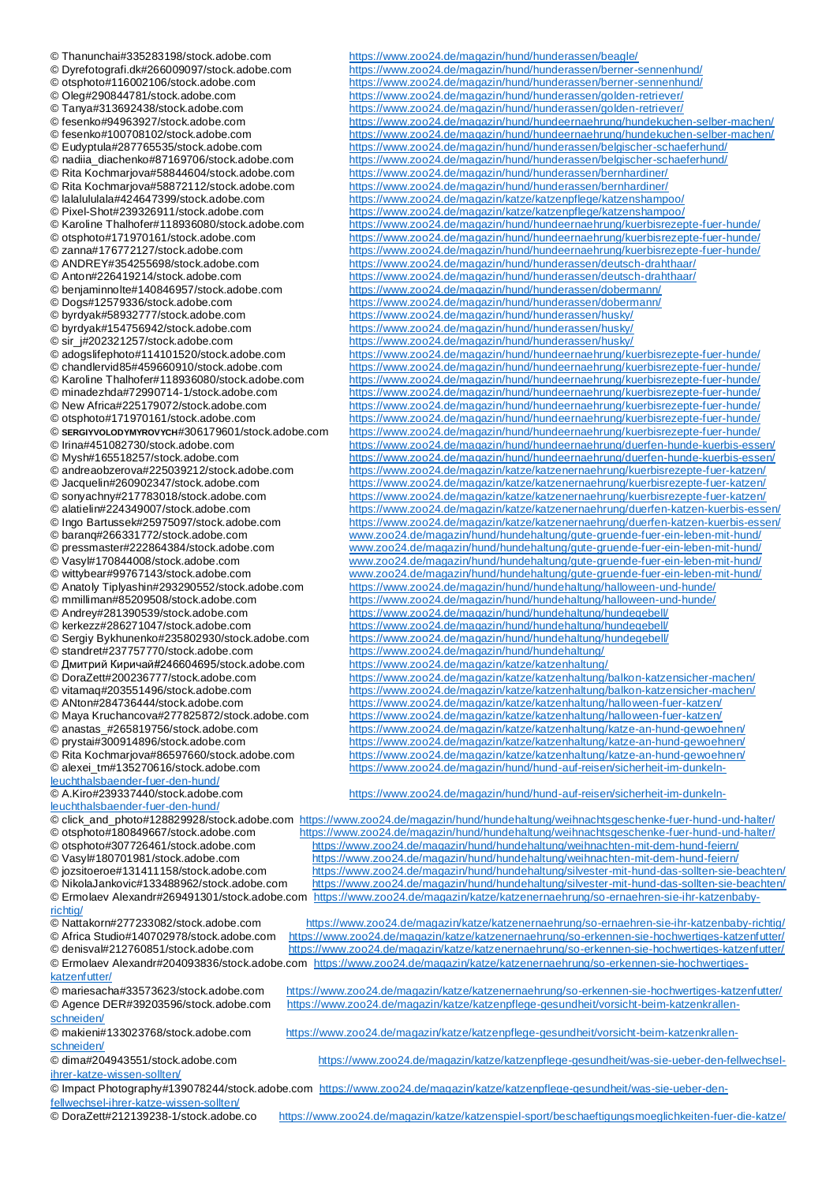© Thanunchai#335283198/stock.adobe.com <https://www.zoo24.de/magazin/hund/hunderassen/beagle/><br>© Dyrefotografi.dk#266009097/stock.adobe.com https://www.zoo24.de/magazin/hund/hunderassen/berner-© Dyrefotografi.dk#266009097/stock.adobe.com <https://www.zoo24.de/magazin/hund/hunderassen/berner-sennenhund/> © otsphoto#116002106/stock.adobe.com <https://www.zoo24.de/magazin/hund/hunderassen/berner-sennenhund/> © Andrey#281390539/stock.adobe.com <https://www.zoo24.de/magazin/hund/hundehaltung/hundegebell/><br>© kerkezz#286271047/stock.adobe.com https://www.zoo24.de/magazin/hund/hundehaltung/hundegebell/ © Дмитрий Киричай#246604695/stock.adobe.com <https://www.zoo24.de/magazin/katze/katzenhaltung/><br>© DoraZett#200236777/stock.adobe.com https://www.zoo24.de/magazin/katze/katzenhaltung/l © Maya Kruchancova#277825872/stock.adobe.com <https://www.zoo24.de/magazin/katze/katzenhaltung/halloween-fuer-katzen/> [leuchthalsbaender-fuer-den-hund/](https://www.zoo24.de/magazin/hund/hund-auf-reisen/sicherheit-im-dunkeln-leuchthalsbaender-fuer-den-hund/)<br>© A.Kiro#239337440/stock.adobe.com [leuchthalsbaender-fuer-den-hund/](https://www.zoo24.de/magazin/hund/hund-auf-reisen/sicherheit-im-dunkeln-leuchthalsbaender-fuer-den-hund/)<br>© click\_and\_photo#128829928/stock.adobe.com

[richtig/](https://www.zoo24.de/magazin/katze/katzenernaehrung/so-ernaehren-sie-ihr-katzenbaby-richtig/)<br>© Nattakorn#277233082/stock.adobe.com

[katzenfutter/](https://www.zoo24.de/magazin/katze/katzenernaehrung/so-erkennen-sie-hochwertiges-katzenfutter/)<br>© mariesacha#33573623/stock.adobe.com

[schneiden/](https://www.zoo24.de/magazin/katze/katzenpflege-gesundheit/vorsicht-beim-katzenkrallen-schneiden/)

[schneiden/](https://www.zoo24.de/magazin/katze/katzenpflege-gesundheit/vorsicht-beim-katzenkrallen-schneiden/)

[ihrer-katze-wissen-sollten/](https://www.zoo24.de/magazin/katze/katzenpflege-gesundheit/was-sie-ueber-den-fellwechsel-ihrer-katze-wissen-sollten/)

© Tanya#313692438/stock.adobe.com <https://www.zoo24.de/magazin/hund/hunderassen/golden-retriever/> © fesenko#94963927/stock.adobe.com <https://www.zoo24.de/magazin/hund/hundeernaehrung/hundekuchen-selber-machen/> © fesenko#100708102/stock.adobe.com <https://www.zoo24.de/magazin/hund/hundeernaehrung/hundekuchen-selber-machen/> © Eudyptula#287765535/stock.adobe.com <https://www.zoo24.de/magazin/hund/hunderassen/belgischer-schaeferhund/> © nadiia\_diachenko#87169706/stock.adobe.com <https://www.zoo24.de/magazin/hund/hunderassen/belgischer-schaeferhund/><br>© Rita Kochmarjova#58844604/stock.adobe.com https://www.zoo24.de/magazin/hund/hunderassen/bernhardiner/ © Rita Kochmarjova#58844604/stock.adobe.com <https://www.zoo24.de/magazin/hund/hunderassen/bernhardiner/><br>© Rita Kochmarjova#58872112/stock.adobe.com https://www.zoo24.de/magazin/hund/hunderassen/bernhardiner/ © Rita Kochmarjova#58872112/stock.adobe.com [https://www.zoo24.de/magazin/hund/hunderassen/bernhardiner/](https://www.zoo24.de/magazin/hund/hunderassen/beagle/)<br>© lalalululala#424647399/stock.adobe.com https://www.zoo24.de/magazin/katze/katzenpflege/katzenshamp © lalalululala#424647399/stock.adobe.com <https://www.zoo24.de/magazin/katze/katzenpflege/katzenshampoo/> © Pixel-Shot#239326911/stock.adobe.com [https://www.zoo24.de/magazin/katze/katzenpflege/katzenshampoo/](https://www.zoo24.de/magazin/katze/katzenpflege/katzenbuerste/) © Karoline Thalhofer#118936080/stock.adobe.com <https://www.zoo24.de/magazin/hund/hundeernaehrung/kuerbisrezepte-fuer-hunde/> © otsphoto#171970161/stock.adobe.com <https://www.zoo24.de/magazin/hund/hundeernaehrung/kuerbisrezepte-fuer-hunde/> © zanna#176772127/stock.adobe.com <https://www.zoo24.de/magazin/hund/hundeernaehrung/kuerbisrezepte-fuer-hunde/><br>© ANDREY#354255698/stock.adobe.com https://www.zoo24.de/magazin/hund/hunderassen/deutsch-drahthaar/ © ANDREY#354255698/stock.adobe.com <https://www.zoo24.de/magazin/hund/hunderassen/deutsch-drahthaar/> © Anton#226419214/stock.adobe.com <https://www.zoo24.de/magazin/hund/hunderassen/deutsch-drahthaar/><br>© benjaminnolte#140846957/stock.adobe.com https://www.zoo24.de/magazin/hund/hunderassen/dobermann/ © benjaminnolte#140846957/stock.adobe.com <https://www.zoo24.de/magazin/hund/hunderassen/dobermann/> © Dogs#12579336/stock.adobe.com <https://www.zoo24.de/magazin/hund/hunderassen/dobermann/><br>© byrdyak#58932777/stock.adobe.com https://www.zoo24.de/magazin/hund/hunderassen/husky/ © byrdyak#58932777/stock.adobe.com <https://www.zoo24.de/magazin/hund/hunderassen/husky/><br>© byrdyak#154756942/stock.adobe.com https://www.zoo24.de/magazin/hund/hunderassen/husky/ <https://www.zoo24.de/magazin/hund/hunderassen/husky/> © sir\_j#202321257/stock.adobe.com <https://www.zoo24.de/magazin/hund/hunderassen/husky/> © adogslifephoto#114101520/stock.adobe.com [https://www.zoo24.de/magazin/hund/hundeernaehrung/kuerbisrezepte-fuer-hunde/](https://www.zoo24.de/magazin/hund/hundeernaehrung/welpenfutter/) © chandlervid85#459660910/stock.adobe.com [https://www.zoo24.de/magazin/hund/hundeernaehrung/kuerbisrezepte-fuer-hunde/](https://www.zoo24.de/magazin/hund/hundeernaehrung/welpenfutter/) © Karoline Thalhofer#118936080/stock.adobe.com [https://www.zoo24.de/magazin/hund/hundeernaehrung/kuerbisrezepte-fuer-hunde/](https://www.zoo24.de/magazin/hund/hundeernaehrung/welpenfutter/) © minadezhda#72990714-1/stock.adobe.com [https://www.zoo24.de/magazin/hund/hundeernaehrung/kuerbisrezepte-fuer-hunde/](https://www.zoo24.de/magazin/hund/hundeernaehrung/welpenfutter/) © New Africa#225179072/stock.adobe.com [https://www.zoo24.de/magazin/hund/hundeernaehrung/kuerbisrezepte-fuer-hunde/](https://www.zoo24.de/magazin/hund/hundeernaehrung/welpenfutter/) [https://www.zoo24.de/magazin/hund/hundeernaehrung/kuerbisrezepte-fuer-hunde/](https://www.zoo24.de/magazin/hund/hundeernaehrung/welpenfutter/) © **SERGIYVOLODYMYROVYCH**#306179601/stock.adobe.com [https://www.zoo24.de/magazin/hund/hundeernaehrung/kuerbisrezepte-fuer-hunde/](https://www.zoo24.de/magazin/hund/hundeernaehrung/welpenfutter/) © Irina#451082730/stock.adobe.com [https://www.zoo24.de/magazin/hund/hundeernaehrung/duerfen-hunde-kuerbis-essen/](https://www.zoo24.de/magazin/hund/hundeernaehrung/welpenfutter/) [https://www.zoo24.de/magazin/hund/hundeernaehrung/duerfen-hunde-kuerbis-essen/](https://www.zoo24.de/magazin/hund/hundeernaehrung/welpenfutter/) © andreaobzerova#225039212/stock.adobe.com [https://www.zoo24.de/magazin/katze/katzenernaehrung/kuerbisrezepte-fuer-katzen/](https://www.zoo24.de/magazin/katze/katzenernaehrung/katzenminze/) © Jacquelin#260902347/stock.adobe.com [https://www.zoo24.de/magazin/katze/katzenernaehrung/kuerbisrezepte-fuer-katzen/](https://www.zoo24.de/magazin/katze/katzenernaehrung/katzenminze/) © sonyachny#217783018/stock.adobe.com [https://www.zoo24.de/magazin/katze/katzenernaehrung/kuerbisrezepte-fuer-katzen/](https://www.zoo24.de/magazin/katze/katzenernaehrung/katzenminze/) [https://www.zoo24.de/magazin/katze/katzenernaehrung/duerfen-katzen-kuerbis-essen/](https://www.zoo24.de/magazin/katze/katzenernaehrung/katzenminze/) © Ingo Bartussek#25975097/stock.adobe.com [https://www.zoo24.de/magazin/katze/katzenernaehrung/duerfen-katzen-kuerbis-essen/](https://www.zoo24.de/magazin/katze/katzenernaehrung/katzenminze/)<br>© baranq#266331772/stock.adobe.com www.zoo24.de/magazin/hund/hundehaltung/gute-gruende-fuer-ein-le © baranq#266331772/stock.adobe.com www.zoo24.de/magazin/hund/hundehaltung/gute-gruende-fuer-ein-leben-mit-hund/ www.zoo24.de/magazin/hund/hundehaltung/gute-gruende-fuer-ein-leben-mit-hund/ © Vasyl#170844008/stock.adobe.com www.zoo24.de/magazin/hund/hundehaltung/gute-gruende-fuer-ein-leben-mit-hund/ © wittybear#99767143/stock.adobe.com www.zoo24.de/magazin/hund/hundehaltung/gute-gruende-fuer-ein-leben-mit-hund/ © Anatoly Tiplyashin#293290552/stock.adobe.com <https://www.zoo24.de/magazin/hund/hundehaltung/halloween-und-hunde/> <https://www.zoo24.de/magazin/hund/hundehaltung/halloween-und-hunde/>

<https://www.zoo24.de/magazin/hund/hunderassen/golden-retriever/>

© kerkezz#286271047/stock.adobe.com <https://www.zoo24.de/magazin/hund/hundehaltung/hundegebell/><br>© Sergiy Bykhunenko#235802930/stock.adobe.com https://www.zoo24.de/magazin/hund/hundehaltung/hundegebell/ © Sergiy Bykhunenko#235802930/stock.adobe.com <https://www.zoo24.de/magazin/hund/hundehaltung/hundegebell/> <https://www.zoo24.de/magazin/hund/hundehaltung/> © DoraZett#200236777/stock.adobe.com <https://www.zoo24.de/magazin/katze/katzenhaltung/balkon-katzensicher-machen/> <https://www.zoo24.de/magazin/katze/katzenhaltung/balkon-katzensicher-machen/> © ANton#284736444/stock.adobe.com <https://www.zoo24.de/magazin/katze/katzenhaltung/halloween-fuer-katzen/><br>© Maya Kruchancova#277825872/stock.adobe.com https://www.zoo24.de/magazin/katze/katzenhaltung/halloween-fuer-katzen/

© anastas\_#265819756/stock.adobe.com <https://www.zoo24.de/magazin/katze/katzenhaltung/katze-an-hund-gewoehnen/> © prystai#300914896/stock.adobe.com [https://www.zoo24.de/magazin/katze/katzenhaltung/katze-an-hund-gewoehnen/](https://www.zoo24.de/magazin/katze/katzenhaltung/halloween-fuer-katzen/) [https://www.zoo24.de/magazin/katze/katzenhaltung/katze-an-hund-gewoehnen/](https://www.zoo24.de/magazin/katze/katzenhaltung/halloween-fuer-katzen/) © alexei\_tm#135270616/stock.adobe.com [https://www.zoo24.de/magazin/hund/hund-auf-reisen/sicherheit-im-dunkeln-](https://www.zoo24.de/magazin/hund/hund-auf-reisen/sicherheit-im-dunkeln-leuchthalsbaender-fuer-den-hund/)

[https://www.zoo24.de/magazin/hund/hund-auf-reisen/sicherheit-im-dunkeln-](https://www.zoo24.de/magazin/hund/hund-auf-reisen/sicherheit-im-dunkeln-leuchthalsbaender-fuer-den-hund/)

© click\_and\_photo#128829928/stock.adobe.com <https://www.zoo24.de/magazin/hund/hundehaltung/weihnachtsgeschenke-fuer-hund-und-halter/> © otsphoto#180849667/stock.adobe.com <https://www.zoo24.de/magazin/hund/hundehaltung/weihnachtsgeschenke-fuer-hund-und-halter/> <https://www.zoo24.de/magazin/hund/hundehaltung/weihnachten-mit-dem-hund-feiern/> © Vasyl#180701981/stock.adobe.com <https://www.zoo24.de/magazin/hund/hundehaltung/weihnachten-mit-dem-hund-feiern/> © jozsitoeroe#131411158/stock.adobe.com <https://www.zoo24.de/magazin/hund/hundehaltung/silvester-mit-hund-das-sollten-sie-beachten/> <https://www.zoo24.de/magazin/hund/hundehaltung/silvester-mit-hund-das-sollten-sie-beachten/> © Ermolaev Alexandr#269491301/stock.adobe.com [https://www.zoo24.de/magazin/katze/katzenernaehrung/so-ernaehren-sie-ihr-katzenbaby-](https://www.zoo24.de/magazin/katze/katzenernaehrung/so-ernaehren-sie-ihr-katzenbaby-richtig/)

© Nattakorn#277233082/stock.adobe.com<https://www.zoo24.de/magazin/katze/katzenernaehrung/so-ernaehren-sie-ihr-katzenbaby-richtig/> © Africa Studio#140702978/stock.adobe.com <https://www.zoo24.de/magazin/katze/katzenernaehrung/so-erkennen-sie-hochwertiges-katzenfutter/> <https://www.zoo24.de/magazin/katze/katzenernaehrung/so-erkennen-sie-hochwertiges-katzenfutter/> © Ermolaev Alexandr#204093836/stock.adobe.com [https://www.zoo24.de/magazin/katze/katzenernaehrung/so-erkennen-sie-hochwertiges-](https://www.zoo24.de/magazin/katze/katzenernaehrung/so-erkennen-sie-hochwertiges-katzenfutter/)

<https://www.zoo24.de/magazin/katze/katzenernaehrung/so-erkennen-sie-hochwertiges-katzenfutter/> © Agence DER#39203596/stock.adobe.com [https://www.zoo24.de/magazin/katze/katzenpflege-gesundheit/vorsicht-beim-katzenkrallen-](https://www.zoo24.de/magazin/katze/katzenpflege-gesundheit/vorsicht-beim-katzenkrallen-schneiden/)

© makieni#133023768/stock.adobe.com [https://www.zoo24.de/magazin/katze/katzenpflege-gesundheit/vorsicht-beim-katzenkrallen-](https://www.zoo24.de/magazin/katze/katzenpflege-gesundheit/vorsicht-beim-katzenkrallen-schneiden/)

© dima#204943551/stock.adobe.com [https://www.zoo24.de/magazin/katze/katzenpflege-gesundheit/was-sie-ueber-den-fellwechsel-](https://www.zoo24.de/magazin/katze/katzenpflege-gesundheit/was-sie-ueber-den-fellwechsel-ihrer-katze-wissen-sollten/)

© Impact Photography#139078244/stock.adobe.com [https://www.zoo24.de/magazin/katze/katzenpflege-gesundheit/was-sie-ueber-den-](https://www.zoo24.de/magazin/katze/katzenpflege-gesundheit/was-sie-ueber-den-fellwechsel-ihrer-katze-wissen-sollten/)

[fellwechsel-ihrer-katze-wissen-sollten/](https://www.zoo24.de/magazin/katze/katzenpflege-gesundheit/was-sie-ueber-den-fellwechsel-ihrer-katze-wissen-sollten/)<br>© DoraZett#212139238-1/stock.adobe.co

<https://www.zoo24.de/magazin/katze/katzenspiel-sport/beschaeftigungsmoeglichkeiten-fuer-die-katze/>